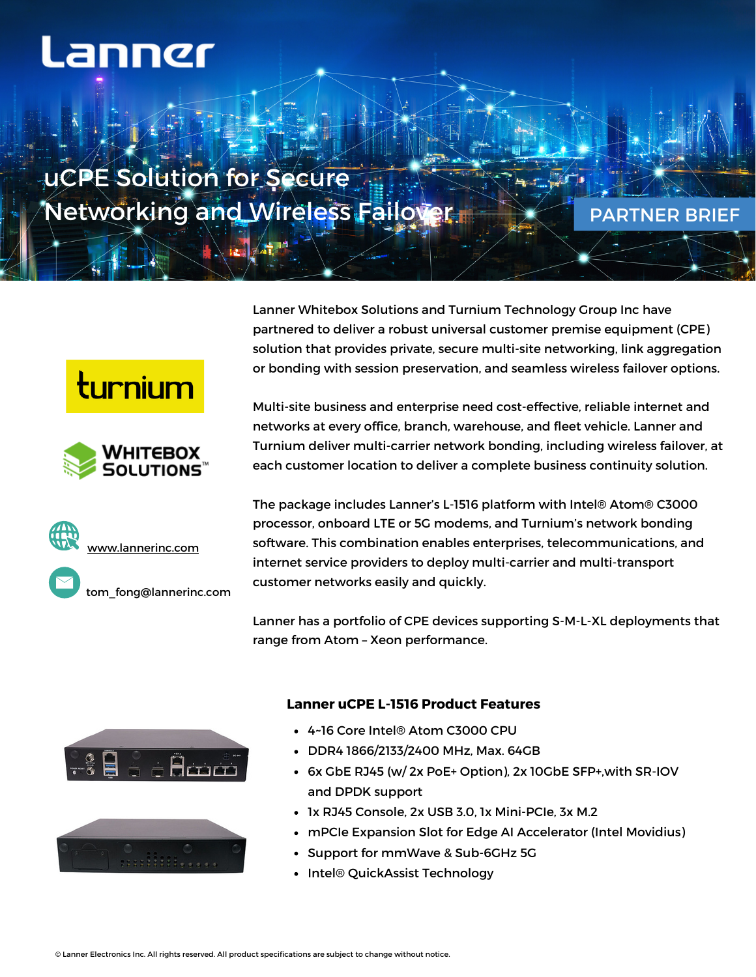## Lanner

uCPE Solution for Secure Networking and Wireless Failover

PARTNER BRIEF

turnium







Lanner Whitebox Solutions and Turnium Technology Group Inc have partnered to deliver a robust universal customer premise equipment (CPE) solution that provides private, secure multi-site networking, link aggregation or bonding with session preservation, and seamless wireless failover options.

Multi-site business and enterprise need cost-effective, reliable internet and networks at every office, branch, warehouse, and fleet vehicle. Lanner and Turnium deliver multi-carrier network bonding, including wireless failover, at each customer location to deliver a complete business continuity solution.

The package includes Lanner's L-1516 platform with Intel® Atom® C3000 processor, onboard LTE or 5G modems, and Turnium's network bonding software. This combination enables enterprises, telecommunications, and internet service providers to deploy multi-carrier and multi-transport customer networks easily and quickly.

Lanner has a portfolio of CPE devices supporting S-M-L-XL deployments that range from Atom – Xeon performance.





## **Lanner uCPE L-1516 Product Features**

- 4~16 Core Intel® Atom C3000 CPU
- DDR4 1866/2133/2400 MHz, Max. 64GB
- 6x GbE RJ45 (w/ 2x PoE+ Option), 2x 10GbE SFP+,with SR-IOV and DPDK support
- 1x RJ45 Console, 2x USB 3.0, 1x Mini-PCIe, 3x M.2
- mPCIe Expansion Slot for Edge AI Accelerator (Intel Movidius)
- Support for mmWave & Sub-6GHz 5G
- Intel® QuickAssist Technology